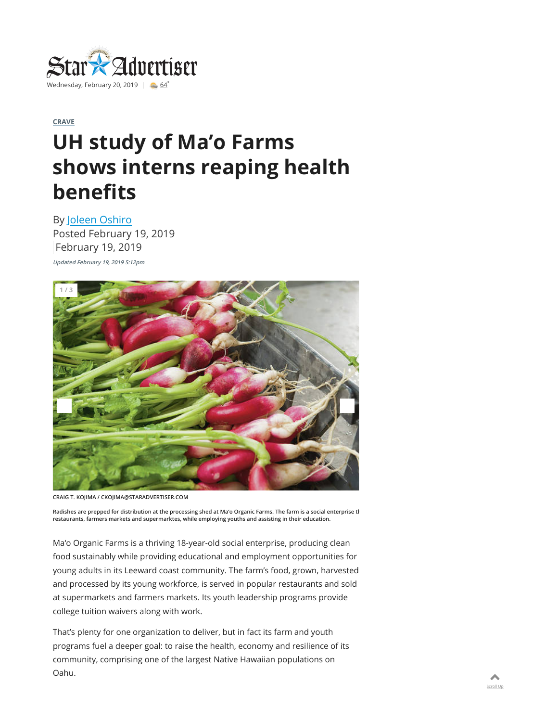

## **CRAVE**

## **UH study of Ma'o Farms shows interns reaping health benefits**

By Joleen Oshiro Posted February 19, 2019 February 19, 2019

**Updated February 19, 2019 5:12pm**



**CRAIG T. KOJIMA / CKOJIMA@STARADVERTISER.COM**

**Radishes are prepped for distribution at the processing shed at Ma'o Organic Farms. The farm is a social enterprise th restaurants, farmers markets and supermarktes, while employing youths and assisting in their education.**

Ma'o Organic Farms is a thriving 18-year-old social enterprise, producing clean food sustainably while providing educational and employment opportunities for young adults in its Leeward coast community. The farm's food, grown, harvested and processed by its young workforce, is served in popular restaurants and sold at supermarkets and farmers markets. Its youth leadership programs provide college tuition waivers along with work.

That's plenty for one organization to deliver, but in fact its farm and youth programs fuel a deeper goal: to raise the health, economy and resilience of its community, comprising one of the largest Native Hawaiian populations on Oahu.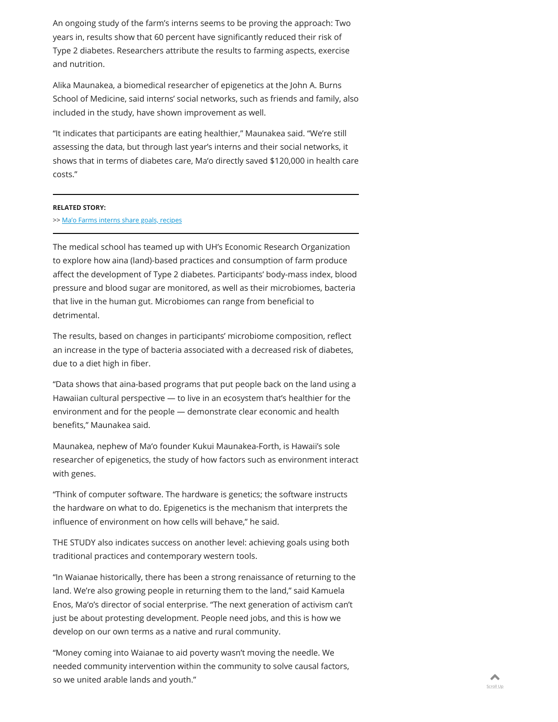An ongoing study of the farm's interns seems to be proving the approach: Two years in, results show that 60 percent have significantly reduced their risk of Type 2 diabetes. Researchers attribute the results to farming aspects, exercise and nutrition.

Alika Maunakea, a biomedical researcher of epigenetics at the John A. Burns School of Medicine, said interns' social networks, such as friends and family, also included in the study, have shown improvement as well.

"It indicates that participants are eating healthier," Maunakea said. "We're still assessing the data, but through last year's interns and their social networks, it shows that in terms of diabetes care, Ma'o directly saved \$120,000 in health care costs."

## **RELATED STORY:**

>> Ma'o Farms interns share goals, recipes

The medical school has teamed up with UH's Economic Research Organization to explore how aina (land)-based practices and consumption of farm produce affect the development of Type 2 diabetes. Participants' body-mass index, blood pressure and blood sugar are monitored, as well as their microbiomes, bacteria that live in the human gut. Microbiomes can range from beneficial to detrimental.

The results, based on changes in participants' microbiome composition, reflect an increase in the type of bacteria associated with a decreased risk of diabetes, due to a diet high in fiber.

"Data shows that aina-based programs that put people back on the land using a Hawaiian cultural perspective — to live in an ecosystem that's healthier for the environment and for the people — demonstrate clear economic and health benefits," Maunakea said.

Maunakea, nephew of Ma'o founder Kukui Maunakea-Forth, is Hawaii's sole researcher of epigenetics, the study of how factors such as environment interact with genes.

"Think of computer software. The hardware is genetics; the software instructs the hardware on what to do. Epigenetics is the mechanism that interprets the influence of environment on how cells will behave," he said.

THE STUDY also indicates success on another level: achieving goals using both traditional practices and contemporary western tools.

"In Waianae historically, there has been a strong renaissance of returning to the land. We're also growing people in returning them to the land," said Kamuela Enos, Ma'o's director of social enterprise. "The next generation of activism can't just be about protesting development. People need jobs, and this is how we develop on our own terms as a native and rural community.

"Money coming into Waianae to aid poverty wasn't moving the needle. We needed community intervention within the community to solve causal factors, so we united arable lands and youth."